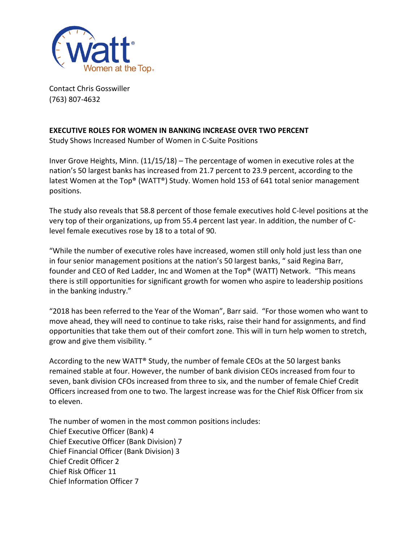

Contact Chris Gosswiller (763) 807-4632

## **EXECUTIVE ROLES FOR WOMEN IN BANKING INCREASE OVER TWO PERCENT**

Study Shows Increased Number of Women in C-Suite Positions

Inver Grove Heights, Minn. (11/15/18) – The percentage of women in executive roles at the nation's 50 largest banks has increased from 21.7 percent to 23.9 percent, according to the latest Women at the Top® (WATT®) Study. Women hold 153 of 641 total senior management positions.

The study also reveals that 58.8 percent of those female executives hold C-level positions at the very top of their organizations, up from 55.4 percent last year. In addition, the number of Clevel female executives rose by 18 to a total of 90.

"While the number of executive roles have increased, women still only hold just less than one in four senior management positions at the nation's 50 largest banks, " said Regina Barr, founder and CEO of Red Ladder, Inc and Women at the Top® (WATT) Network. "This means there is still opportunities for significant growth for women who aspire to leadership positions in the banking industry."

"2018 has been referred to the Year of the Woman", Barr said. "For those women who want to move ahead, they will need to continue to take risks, raise their hand for assignments, and find opportunities that take them out of their comfort zone. This will in turn help women to stretch, grow and give them visibility. "

According to the new WATT® Study, the number of female CEOs at the 50 largest banks remained stable at four. However, the number of bank division CEOs increased from four to seven, bank division CFOs increased from three to six, and the number of female Chief Credit Officers increased from one to two. The largest increase was for the Chief Risk Officer from six to eleven.

The number of women in the most common positions includes: Chief Executive Officer (Bank) 4 Chief Executive Officer (Bank Division) 7 Chief Financial Officer (Bank Division) 3 Chief Credit Officer 2 Chief Risk Officer 11 Chief Information Officer 7